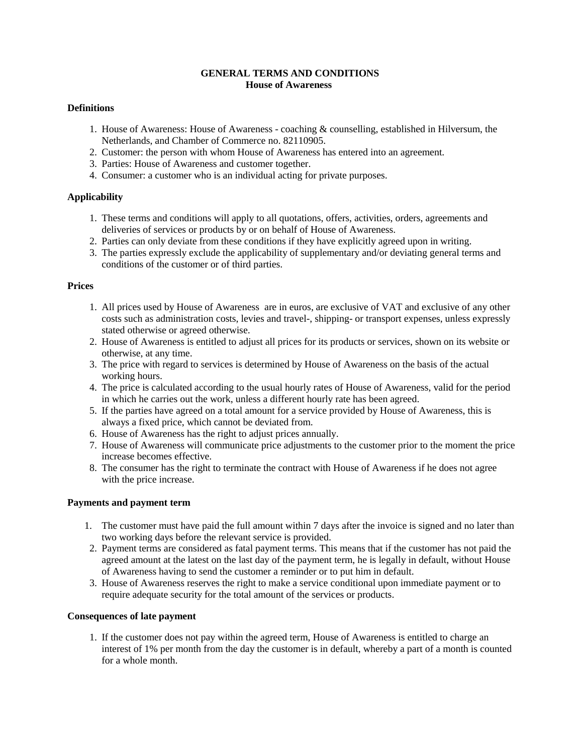## **GENERAL TERMS AND CONDITIONS House of Awareness**

## **Definitions**

- 1. House of Awareness: House of Awareness coaching & counselling, established in Hilversum, the Netherlands, and Chamber of Commerce no. 82110905.
- 2. Customer: the person with whom House of Awareness has entered into an agreement.
- 3. Parties: House of Awareness and customer together.
- 4. Consumer: a customer who is an individual acting for private purposes.

# **Applicability**

- 1. These terms and conditions will apply to all quotations, offers, activities, orders, agreements and deliveries of services or products by or on behalf of House of Awareness.
- 2. Parties can only deviate from these conditions if they have explicitly agreed upon in writing.
- 3. The parties expressly exclude the applicability of supplementary and/or deviating general terms and conditions of the customer or of third parties.

### **Prices**

- 1. All prices used by House of Awareness are in euros, are exclusive of VAT and exclusive of any other costs such as administration costs, levies and travel-, shipping- or transport expenses, unless expressly stated otherwise or agreed otherwise.
- 2. House of Awareness is entitled to adjust all prices for its products or services, shown on its website or otherwise, at any time.
- 3. The price with regard to services is determined by House of Awareness on the basis of the actual working hours.
- 4. The price is calculated according to the usual hourly rates of House of Awareness, valid for the period in which he carries out the work, unless a different hourly rate has been agreed.
- 5. If the parties have agreed on a total amount for a service provided by House of Awareness, this is always a fixed price, which cannot be deviated from.
- 6. House of Awareness has the right to adjust prices annually.
- 7. House of Awareness will communicate price adjustments to the customer prior to the moment the price increase becomes effective.
- 8. The consumer has the right to terminate the contract with House of Awareness if he does not agree with the price increase.

### **Payments and payment term**

- 1. The customer must have paid the full amount within 7 days after the invoice is signed and no later than two working days before the relevant service is provided.
- 2. Payment terms are considered as fatal payment terms. This means that if the customer has not paid the agreed amount at the latest on the last day of the payment term, he is legally in default, without House of Awareness having to send the customer a reminder or to put him in default.
- 3. House of Awareness reserves the right to make a service conditional upon immediate payment or to require adequate security for the total amount of the services or products.

### **Consequences of late payment**

1. If the customer does not pay within the agreed term, House of Awareness is entitled to charge an interest of 1% per month from the day the customer is in default, whereby a part of a month is counted for a whole month.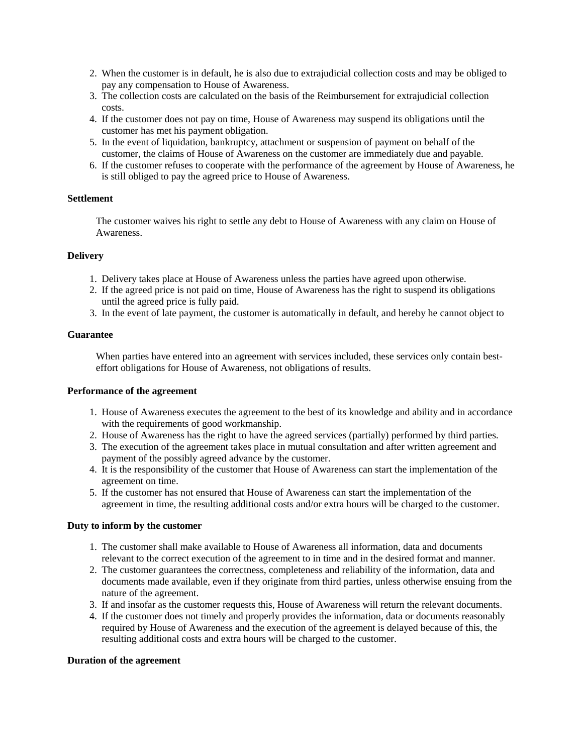- 2. When the customer is in default, he is also due to extrajudicial collection costs and may be obliged to pay any compensation to House of Awareness.
- 3. The collection costs are calculated on the basis of the Reimbursement for extrajudicial collection costs.
- 4. If the customer does not pay on time, House of Awareness may suspend its obligations until the customer has met his payment obligation.
- 5. In the event of liquidation, bankruptcy, attachment or suspension of payment on behalf of the customer, the claims of House of Awareness on the customer are immediately due and payable.
- 6. If the customer refuses to cooperate with the performance of the agreement by House of Awareness, he is still obliged to pay the agreed price to House of Awareness.

## **Settlement**

The customer waives his right to settle any debt to House of Awareness with any claim on House of Awareness.

## **Delivery**

- 1. Delivery takes place at House of Awareness unless the parties have agreed upon otherwise.
- 2. If the agreed price is not paid on time, House of Awareness has the right to suspend its obligations until the agreed price is fully paid.
- 3. In the event of late payment, the customer is automatically in default, and hereby he cannot object to

## **Guarantee**

When parties have entered into an agreement with services included, these services only contain besteffort obligations for House of Awareness, not obligations of results.

### **Performance of the agreement**

- 1. House of Awareness executes the agreement to the best of its knowledge and ability and in accordance with the requirements of good workmanship.
- 2. House of Awareness has the right to have the agreed services (partially) performed by third parties.
- 3. The execution of the agreement takes place in mutual consultation and after written agreement and payment of the possibly agreed advance by the customer.
- 4. It is the responsibility of the customer that House of Awareness can start the implementation of the agreement on time.
- 5. If the customer has not ensured that House of Awareness can start the implementation of the agreement in time, the resulting additional costs and/or extra hours will be charged to the customer.

# **Duty to inform by the customer**

- 1. The customer shall make available to House of Awareness all information, data and documents relevant to the correct execution of the agreement to in time and in the desired format and manner.
- 2. The customer guarantees the correctness, completeness and reliability of the information, data and documents made available, even if they originate from third parties, unless otherwise ensuing from the nature of the agreement.
- 3. If and insofar as the customer requests this, House of Awareness will return the relevant documents.
- 4. If the customer does not timely and properly provides the information, data or documents reasonably required by House of Awareness and the execution of the agreement is delayed because of this, the resulting additional costs and extra hours will be charged to the customer.

### **Duration of the agreement**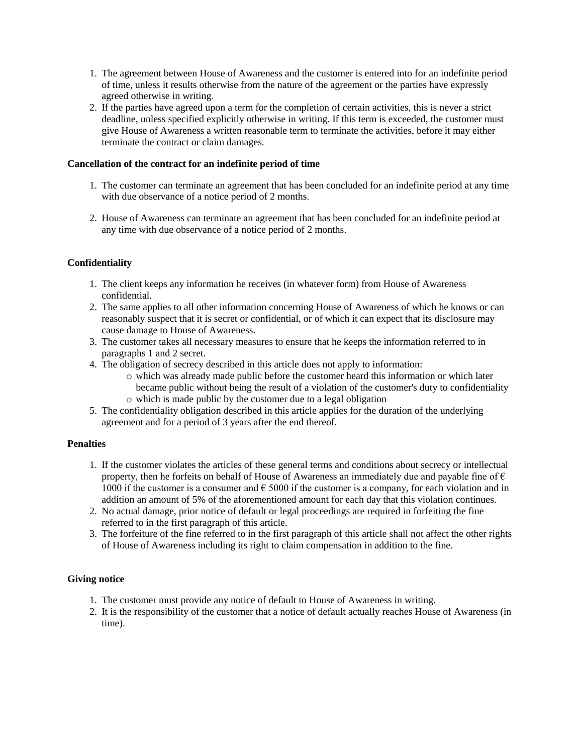- 1. The agreement between House of Awareness and the customer is entered into for an indefinite period of time, unless it results otherwise from the nature of the agreement or the parties have expressly agreed otherwise in writing.
- 2. If the parties have agreed upon a term for the completion of certain activities, this is never a strict deadline, unless specified explicitly otherwise in writing. If this term is exceeded, the customer must give House of Awareness a written reasonable term to terminate the activities, before it may either terminate the contract or claim damages.

## **Cancellation of the contract for an indefinite period of time**

- 1. The customer can terminate an agreement that has been concluded for an indefinite period at any time with due observance of a notice period of 2 months.
- 2. House of Awareness can terminate an agreement that has been concluded for an indefinite period at any time with due observance of a notice period of 2 months.

# **Confidentiality**

- 1. The client keeps any information he receives (in whatever form) from House of Awareness confidential.
- 2. The same applies to all other information concerning House of Awareness of which he knows or can reasonably suspect that it is secret or confidential, or of which it can expect that its disclosure may cause damage to House of Awareness.
- 3. The customer takes all necessary measures to ensure that he keeps the information referred to in paragraphs 1 and 2 secret.
- 4. The obligation of secrecy described in this article does not apply to information:
	- o which was already made public before the customer heard this information or which later became public without being the result of a violation of the customer's duty to confidentiality
	- o which is made public by the customer due to a legal obligation
- 5. The confidentiality obligation described in this article applies for the duration of the underlying agreement and for a period of 3 years after the end thereof.

### **Penalties**

- 1. If the customer violates the articles of these general terms and conditions about secrecy or intellectual property, then he forfeits on behalf of House of Awareness an immediately due and payable fine of  $\epsilon$ 1000 if the customer is a consumer and  $\epsilon$  5000 if the customer is a company, for each violation and in addition an amount of 5% of the aforementioned amount for each day that this violation continues.
- 2. No actual damage, prior notice of default or legal proceedings are required in forfeiting the fine referred to in the first paragraph of this article.
- 3. The forfeiture of the fine referred to in the first paragraph of this article shall not affect the other rights of House of Awareness including its right to claim compensation in addition to the fine.

# **Giving notice**

- 1. The customer must provide any notice of default to House of Awareness in writing.
- 2. It is the responsibility of the customer that a notice of default actually reaches House of Awareness (in time).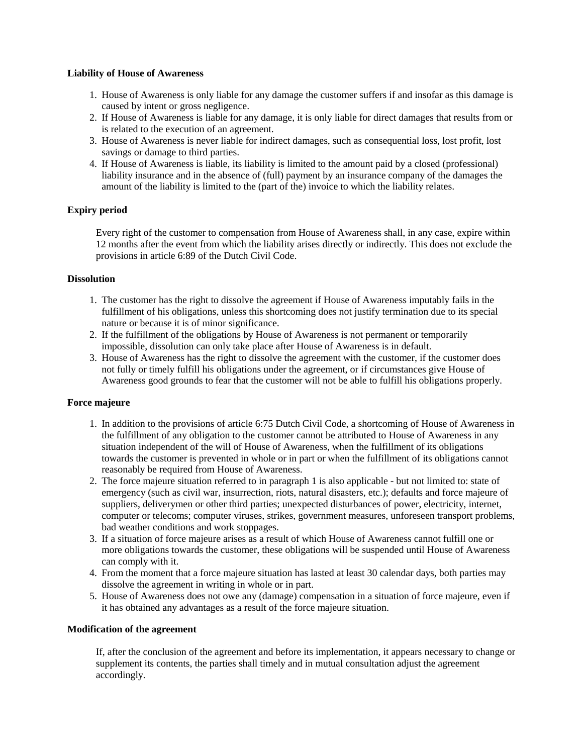## **Liability of House of Awareness**

- 1. House of Awareness is only liable for any damage the customer suffers if and insofar as this damage is caused by intent or gross negligence.
- 2. If House of Awareness is liable for any damage, it is only liable for direct damages that results from or is related to the execution of an agreement.
- 3. House of Awareness is never liable for indirect damages, such as consequential loss, lost profit, lost savings or damage to third parties.
- 4. If House of Awareness is liable, its liability is limited to the amount paid by a closed (professional) liability insurance and in the absence of (full) payment by an insurance company of the damages the amount of the liability is limited to the (part of the) invoice to which the liability relates.

# **Expiry period**

Every right of the customer to compensation from House of Awareness shall, in any case, expire within 12 months after the event from which the liability arises directly or indirectly. This does not exclude the provisions in article 6:89 of the Dutch Civil Code.

### **Dissolution**

- 1. The customer has the right to dissolve the agreement if House of Awareness imputably fails in the fulfillment of his obligations, unless this shortcoming does not justify termination due to its special nature or because it is of minor significance.
- 2. If the fulfillment of the obligations by House of Awareness is not permanent or temporarily impossible, dissolution can only take place after House of Awareness is in default.
- 3. House of Awareness has the right to dissolve the agreement with the customer, if the customer does not fully or timely fulfill his obligations under the agreement, or if circumstances give House of Awareness good grounds to fear that the customer will not be able to fulfill his obligations properly.

### **Force majeure**

- 1. In addition to the provisions of article 6:75 Dutch Civil Code, a shortcoming of House of Awareness in the fulfillment of any obligation to the customer cannot be attributed to House of Awareness in any situation independent of the will of House of Awareness, when the fulfillment of its obligations towards the customer is prevented in whole or in part or when the fulfillment of its obligations cannot reasonably be required from House of Awareness.
- 2. The force majeure situation referred to in paragraph 1 is also applicable but not limited to: state of emergency (such as civil war, insurrection, riots, natural disasters, etc.); defaults and force majeure of suppliers, deliverymen or other third parties; unexpected disturbances of power, electricity, internet, computer or telecoms; computer viruses, strikes, government measures, unforeseen transport problems, bad weather conditions and work stoppages.
- 3. If a situation of force majeure arises as a result of which House of Awareness cannot fulfill one or more obligations towards the customer, these obligations will be suspended until House of Awareness can comply with it.
- 4. From the moment that a force majeure situation has lasted at least 30 calendar days, both parties may dissolve the agreement in writing in whole or in part.
- 5. House of Awareness does not owe any (damage) compensation in a situation of force majeure, even if it has obtained any advantages as a result of the force majeure situation.

### **Modification of the agreement**

If, after the conclusion of the agreement and before its implementation, it appears necessary to change or supplement its contents, the parties shall timely and in mutual consultation adjust the agreement accordingly.